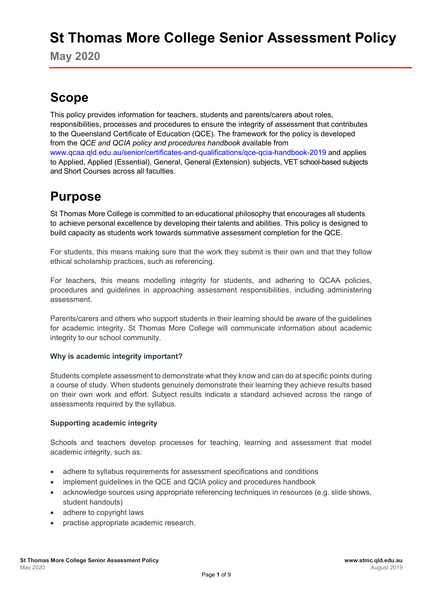# **St Thomas More College Senior Assessment Policy**

**May 2020**

# **Scope**

This policy provides information for teachers, students and parents/carers about roles, responsibilities, processes and procedures to ensure the integrity of assessment that contributes to the Queensland Certificate of Education (QCE). The framework for the policy is developed from the *QCE and QCIA policy and procedures handbook* available from [www.qcaa.qld.edu.au/senior/certificates-and-qualifications/qce-qcia-handbook-2019](https://www.qcaa.qld.edu.au/senior/certificates-and-qualifications/qce-qcia-handbook-2019) and applies to Applied, Applied (Essential), General, General (Extension) subjects, VET school-based subjects and Short Courses across all faculties.

## **Purpose**

St Thomas More College is committed to an educational philosophy that encourages all students to achieve personal excellence by developing their talents and abilities. This policy is designed to build capacity as students work towards summative assessment completion for the QCE.

For students, this means making sure that the work they submit is their own and that they follow ethical scholarship practices, such as referencing.

For teachers, this means modelling integrity for students, and adhering to QCAA policies, procedures and guidelines in approaching assessment responsibilities, including administering assessment.

Parents/carers and others who support students in their learning should be aware of the guidelines for academic integrity. St Thomas More College will communicate information about academic integrity to our school community.

#### **Why is academic integrity important?**

Students complete assessment to demonstrate what they know and can do at specific points during a course of study. When students genuinely demonstrate their learning they achieve results based on their own work and effort. Subject results indicate a standard achieved across the range of assessments required by the syllabus.

#### **Supporting academic integrity**

Schools and teachers develop processes for teaching, learning and assessment that model academic integrity, such as:

- adhere to syllabus requirements for assessment specifications and conditions
- implement guidelines in the QCE and QCIA policy and procedures handbook
- acknowledge sources using appropriate referencing techniques in resources (e.g. slide shows, student handouts)
- adhere to copyright laws
- practise appropriate academic research.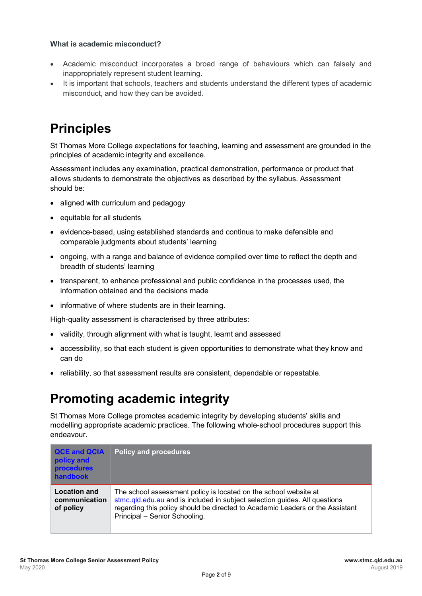#### **What is academic misconduct?**

- Academic misconduct incorporates a broad range of behaviours which can falsely and inappropriately represent student learning.
- It is important that schools, teachers and students understand the different types of academic misconduct, and how they can be avoided.

# **Principles**

St Thomas More College expectations for teaching, learning and assessment are grounded in the principles of academic integrity and excellence.

Assessment includes any examination, practical demonstration, performance or product that allows students to demonstrate the objectives as described by the syllabus. Assessment should be:

- aligned with curriculum and pedagogy
- equitable for all students
- evidence-based, using established standards and continua to make defensible and comparable judgments about students' learning
- ongoing, with a range and balance of evidence compiled over time to reflect the depth and breadth of students' learning
- transparent, to enhance professional and public confidence in the processes used, the information obtained and the decisions made
- informative of where students are in their learning.

High-quality assessment is characterised by three attributes:

- validity, through alignment with what is taught, learnt and assessed
- accessibility, so that each student is given opportunities to demonstrate what they know and can do
- reliability, so that assessment results are consistent, dependable or repeatable.

## **Promoting academic integrity**

St Thomas More College promotes academic integrity by developing students' skills and modelling appropriate academic practices. The following whole-school procedures support this endeavour.

| <b>QCE and QCIA</b><br>policy and<br><b>procedures</b><br>handbook | Policy and procedures                                                                                                                                                                                                                                            |
|--------------------------------------------------------------------|------------------------------------------------------------------------------------------------------------------------------------------------------------------------------------------------------------------------------------------------------------------|
| <b>Location and</b><br>communication<br>of policy                  | The school assessment policy is located on the school website at<br>stmc.qld.edu.au and is included in subject selection guides. All questions<br>regarding this policy should be directed to Academic Leaders or the Assistant<br>Principal - Senior Schooling. |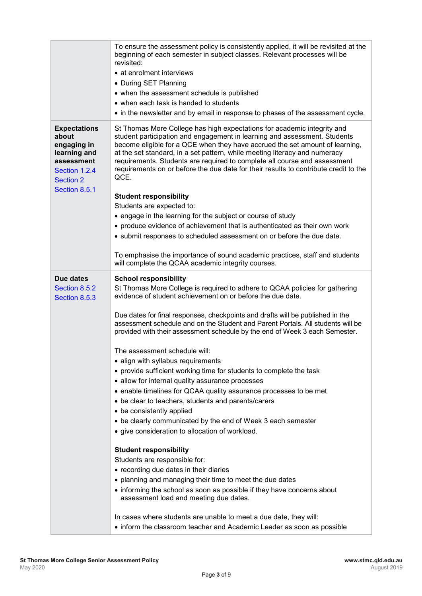|                                                                                                                                 | To ensure the assessment policy is consistently applied, it will be revisited at the<br>beginning of each semester in subject classes. Relevant processes will be<br>revisited:<br>• at enrolment interviews<br>• During SET Planning<br>• when the assessment schedule is published<br>• when each task is handed to students<br>• in the newsletter and by email in response to phases of the assessment cycle.                                                                                                                                                                                                                                                                                         |  |
|---------------------------------------------------------------------------------------------------------------------------------|-----------------------------------------------------------------------------------------------------------------------------------------------------------------------------------------------------------------------------------------------------------------------------------------------------------------------------------------------------------------------------------------------------------------------------------------------------------------------------------------------------------------------------------------------------------------------------------------------------------------------------------------------------------------------------------------------------------|--|
| <b>Expectations</b><br>about<br>engaging in<br>learning and<br>assessment<br>Section 1.2.4<br><b>Section 2</b><br>Section 8.5.1 | St Thomas More College has high expectations for academic integrity and<br>student participation and engagement in learning and assessment. Students<br>become eligible for a QCE when they have accrued the set amount of learning,<br>at the set standard, in a set pattern, while meeting literacy and numeracy<br>requirements. Students are required to complete all course and assessment<br>requirements on or before the due date for their results to contribute credit to the<br>QCE.<br><b>Student responsibility</b><br>Students are expected to:<br>• engage in the learning for the subject or course of study<br>• produce evidence of achievement that is authenticated as their own work |  |
|                                                                                                                                 | • submit responses to scheduled assessment on or before the due date.<br>To emphasise the importance of sound academic practices, staff and students<br>will complete the QCAA academic integrity courses.                                                                                                                                                                                                                                                                                                                                                                                                                                                                                                |  |
| Due dates<br>Section 8.5.2<br>Section 8.5.3                                                                                     | <b>School responsibility</b><br>St Thomas More College is required to adhere to QCAA policies for gathering<br>evidence of student achievement on or before the due date.<br>Due dates for final responses, checkpoints and drafts will be published in the<br>assessment schedule and on the Student and Parent Portals. All students will be<br>provided with their assessment schedule by the end of Week 3 each Semester.                                                                                                                                                                                                                                                                             |  |
|                                                                                                                                 | The assessment schedule will:<br>• align with syllabus requirements<br>• provide sufficient working time for students to complete the task<br>• allow for internal quality assurance processes<br>• enable timelines for QCAA quality assurance processes to be met<br>• be clear to teachers, students and parents/carers<br>• be consistently applied<br>• be clearly communicated by the end of Week 3 each semester<br>• give consideration to allocation of workload.                                                                                                                                                                                                                                |  |
|                                                                                                                                 | <b>Student responsibility</b><br>Students are responsible for:<br>• recording due dates in their diaries<br>• planning and managing their time to meet the due dates<br>• informing the school as soon as possible if they have concerns about<br>assessment load and meeting due dates.                                                                                                                                                                                                                                                                                                                                                                                                                  |  |
|                                                                                                                                 | In cases where students are unable to meet a due date, they will:<br>• inform the classroom teacher and Academic Leader as soon as possible                                                                                                                                                                                                                                                                                                                                                                                                                                                                                                                                                               |  |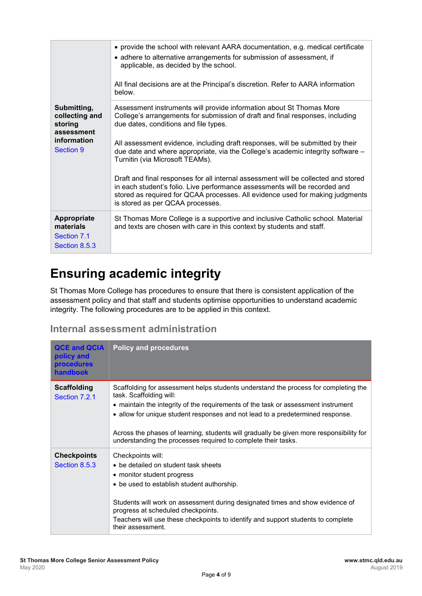|                                                                                    | • provide the school with relevant AARA documentation, e.g. medical certificate<br>• adhere to alternative arrangements for submission of assessment, if<br>applicable, as decided by the school.<br>All final decisions are at the Principal's discretion. Refer to AARA information<br>below.                                                                                                                                                                                                                                                                                                                                                                                                 |
|------------------------------------------------------------------------------------|-------------------------------------------------------------------------------------------------------------------------------------------------------------------------------------------------------------------------------------------------------------------------------------------------------------------------------------------------------------------------------------------------------------------------------------------------------------------------------------------------------------------------------------------------------------------------------------------------------------------------------------------------------------------------------------------------|
| Submitting,<br>collecting and<br>storing<br>assessment<br>information<br>Section 9 | Assessment instruments will provide information about St Thomas More<br>College's arrangements for submission of draft and final responses, including<br>due dates, conditions and file types.<br>All assessment evidence, including draft responses, will be submitted by their<br>due date and where appropriate, via the College's academic integrity software -<br>Turnitin (via Microsoft TEAMs).<br>Draft and final responses for all internal assessment will be collected and stored<br>in each student's folio. Live performance assessments will be recorded and<br>stored as required for QCAA processes. All evidence used for making judgments<br>is stored as per QCAA processes. |
| Appropriate<br>materials<br>Section 7.1<br>Section 8.5.3                           | St Thomas More College is a supportive and inclusive Catholic school. Material<br>and texts are chosen with care in this context by students and staff.                                                                                                                                                                                                                                                                                                                                                                                                                                                                                                                                         |

## **Ensuring academic integrity**

St Thomas More College has procedures to ensure that there is consistent application of the assessment policy and that staff and students optimise opportunities to understand academic integrity. The following procedures are to be applied in this context.

### **Internal assessment administration**

| <b>QCE and QCIA</b><br>policy and<br><b>procedures</b><br>handbook | <b>Policy and procedures</b>                                                                                                                                                                                                                                                                                                                                                                                                                      |
|--------------------------------------------------------------------|---------------------------------------------------------------------------------------------------------------------------------------------------------------------------------------------------------------------------------------------------------------------------------------------------------------------------------------------------------------------------------------------------------------------------------------------------|
| <b>Scaffolding</b><br>Section 7.2.1                                | Scaffolding for assessment helps students understand the process for completing the<br>task. Scaffolding will:<br>• maintain the integrity of the requirements of the task or assessment instrument<br>• allow for unique student responses and not lead to a predetermined response.<br>Across the phases of learning, students will gradually be given more responsibility for<br>understanding the processes required to complete their tasks. |
| <b>Checkpoints</b><br>Section 8.5.3                                | Checkpoints will:<br>• be detailed on student task sheets<br>• monitor student progress<br>• be used to establish student authorship.<br>Students will work on assessment during designated times and show evidence of<br>progress at scheduled checkpoints.<br>Teachers will use these checkpoints to identify and support students to complete<br>their assessment.                                                                             |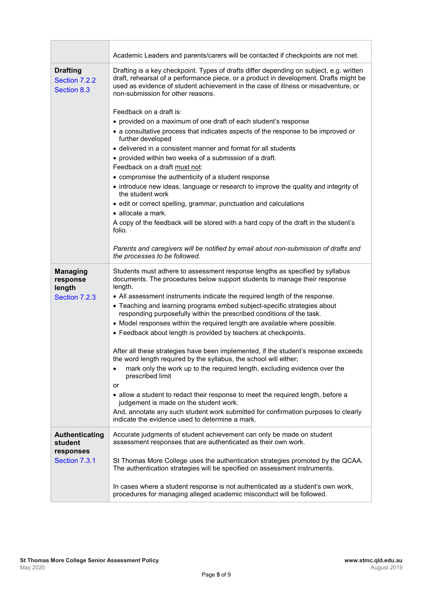|                                                 | Academic Leaders and parents/carers will be contacted if checkpoints are not met.                                                                                                                                                                                                                           |  |
|-------------------------------------------------|-------------------------------------------------------------------------------------------------------------------------------------------------------------------------------------------------------------------------------------------------------------------------------------------------------------|--|
| <b>Drafting</b><br>Section 7.2.2<br>Section 8.3 | Drafting is a key checkpoint. Types of drafts differ depending on subject, e.g. written<br>draft, rehearsal of a performance piece, or a product in development. Drafts might be<br>used as evidence of student achievement in the case of illness or misadventure, or<br>non-submission for other reasons. |  |
|                                                 | Feedback on a draft is:                                                                                                                                                                                                                                                                                     |  |
|                                                 | • provided on a maximum of one draft of each student's response                                                                                                                                                                                                                                             |  |
|                                                 | • a consultative process that indicates aspects of the response to be improved or<br>further developed                                                                                                                                                                                                      |  |
|                                                 | • delivered in a consistent manner and format for all students                                                                                                                                                                                                                                              |  |
|                                                 | • provided within two weeks of a submission of a draft.                                                                                                                                                                                                                                                     |  |
|                                                 | Feedback on a draft must not:                                                                                                                                                                                                                                                                               |  |
|                                                 | • compromise the authenticity of a student response                                                                                                                                                                                                                                                         |  |
|                                                 | • introduce new ideas, language or research to improve the quality and integrity of<br>the student work                                                                                                                                                                                                     |  |
|                                                 | • edit or correct spelling, grammar, punctuation and calculations                                                                                                                                                                                                                                           |  |
|                                                 | $\bullet$ allocate a mark.                                                                                                                                                                                                                                                                                  |  |
|                                                 | A copy of the feedback will be stored with a hard copy of the draft in the student's<br>folio.                                                                                                                                                                                                              |  |
|                                                 | Parents and caregivers will be notified by email about non-submission of drafts and<br>the processes to be followed.                                                                                                                                                                                        |  |
| <b>Managing</b><br>response<br>length           | Students must adhere to assessment response lengths as specified by syllabus<br>documents. The procedures below support students to manage their response<br>length.                                                                                                                                        |  |
| Section 7.2.3                                   | • All assessment instruments indicate the required length of the response.                                                                                                                                                                                                                                  |  |
|                                                 | • Teaching and learning programs embed subject-specific strategies about<br>responding purposefully within the prescribed conditions of the task.                                                                                                                                                           |  |
|                                                 | • Model responses within the required length are available where possible.                                                                                                                                                                                                                                  |  |
|                                                 | • Feedback about length is provided by teachers at checkpoints.                                                                                                                                                                                                                                             |  |
|                                                 | After all these strategies have been implemented, if the student's response exceeds<br>the word length required by the syllabus, the school will either;                                                                                                                                                    |  |
|                                                 | mark only the work up to the required length, excluding evidence over the<br>$\bullet$<br>prescribed limit                                                                                                                                                                                                  |  |
|                                                 | or<br>• allow a student to redact their response to meet the required length, before a<br>judgement is made on the student work.                                                                                                                                                                            |  |
|                                                 | And, annotate any such student work submitted for confirmation purposes to clearly<br>indicate the evidence used to determine a mark.                                                                                                                                                                       |  |
| <b>Authenticating</b><br>student<br>responses   | Accurate judgments of student achievement can only be made on student<br>assessment responses that are authenticated as their own work.                                                                                                                                                                     |  |
| Section 7.3.1                                   | St Thomas More College uses the authentication strategies promoted by the QCAA.<br>The authentication strategies will be specified on assessment instruments.                                                                                                                                               |  |
|                                                 | In cases where a student response is not authenticated as a student's own work,<br>procedures for managing alleged academic misconduct will be followed.                                                                                                                                                    |  |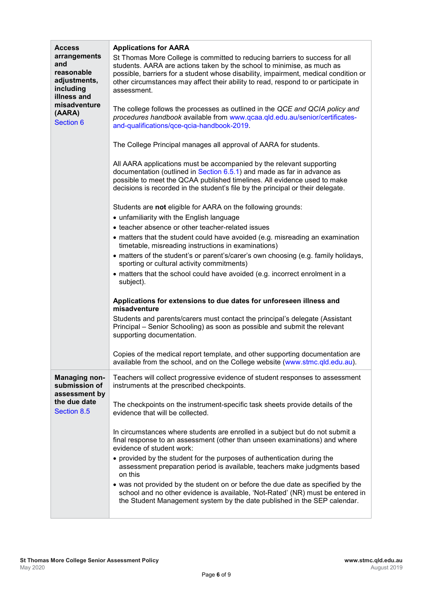| <b>Access</b><br>arrangements<br>and<br>reasonable<br>adjustments,<br>including<br>illness and<br>misadventure<br>(AARA)<br>Section 6 | <b>Applications for AARA</b><br>St Thomas More College is committed to reducing barriers to success for all<br>students. AARA are actions taken by the school to minimise, as much as<br>possible, barriers for a student whose disability, impairment, medical condition or<br>other circumstances may affect their ability to read, respond to or participate in<br>assessment.<br>The college follows the processes as outlined in the QCE and QCIA policy and<br>procedures handbook available from www.qcaa.qld.edu.au/senior/certificates-<br>and-qualifications/qce-qcia-handbook-2019.<br>The College Principal manages all approval of AARA for students.<br>All AARA applications must be accompanied by the relevant supporting<br>documentation (outlined in Section 6.5.1) and made as far in advance as<br>possible to meet the QCAA published timelines. All evidence used to make<br>decisions is recorded in the student's file by the principal or their delegate.<br>Students are not eligible for AARA on the following grounds:<br>• unfamiliarity with the English language<br>• teacher absence or other teacher-related issues<br>• matters that the student could have avoided (e.g. misreading an examination<br>timetable, misreading instructions in examinations)<br>• matters of the student's or parent's/carer's own choosing (e.g. family holidays,<br>sporting or cultural activity commitments)<br>• matters that the school could have avoided (e.g. incorrect enrolment in a<br>subject).<br>Applications for extensions to due dates for unforeseen illness and<br>misadventure<br>Students and parents/carers must contact the principal's delegate (Assistant<br>Principal – Senior Schooling) as soon as possible and submit the relevant<br>supporting documentation.<br>Copies of the medical report template, and other supporting documentation are<br>available from the school, and on the College website (www.stmc.qld.edu.au). |
|---------------------------------------------------------------------------------------------------------------------------------------|----------------------------------------------------------------------------------------------------------------------------------------------------------------------------------------------------------------------------------------------------------------------------------------------------------------------------------------------------------------------------------------------------------------------------------------------------------------------------------------------------------------------------------------------------------------------------------------------------------------------------------------------------------------------------------------------------------------------------------------------------------------------------------------------------------------------------------------------------------------------------------------------------------------------------------------------------------------------------------------------------------------------------------------------------------------------------------------------------------------------------------------------------------------------------------------------------------------------------------------------------------------------------------------------------------------------------------------------------------------------------------------------------------------------------------------------------------------------------------------------------------------------------------------------------------------------------------------------------------------------------------------------------------------------------------------------------------------------------------------------------------------------------------------------------------------------------------------------------------------------------------------------------------------------------------------------------------------------------------|
| <b>Managing non-</b><br>submission of<br>assessment by<br>the due date<br><b>Section 8.5</b>                                          | Teachers will collect progressive evidence of student responses to assessment<br>instruments at the prescribed checkpoints.<br>The checkpoints on the instrument-specific task sheets provide details of the<br>evidence that will be collected.<br>In circumstances where students are enrolled in a subject but do not submit a<br>final response to an assessment (other than unseen examinations) and where<br>evidence of student work:<br>• provided by the student for the purposes of authentication during the<br>assessment preparation period is available, teachers make judgments based<br>on this<br>• was not provided by the student on or before the due date as specified by the<br>school and no other evidence is available, 'Not-Rated' (NR) must be entered in<br>the Student Management system by the date published in the SEP calendar.                                                                                                                                                                                                                                                                                                                                                                                                                                                                                                                                                                                                                                                                                                                                                                                                                                                                                                                                                                                                                                                                                                                 |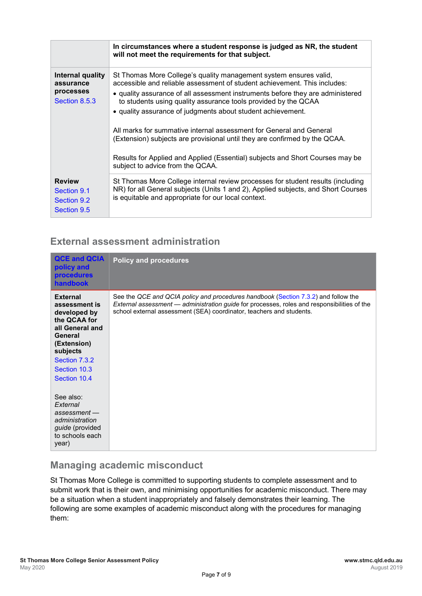|                                                             | In circumstances where a student response is judged as NR, the student<br>will not meet the requirements for that subject.                                                                                                                                                                                                                                                                                                                                                                                                                                                                                                                  |  |
|-------------------------------------------------------------|---------------------------------------------------------------------------------------------------------------------------------------------------------------------------------------------------------------------------------------------------------------------------------------------------------------------------------------------------------------------------------------------------------------------------------------------------------------------------------------------------------------------------------------------------------------------------------------------------------------------------------------------|--|
| Internal quality<br>assurance<br>processes<br>Section 8.5.3 | St Thomas More College's quality management system ensures valid,<br>accessible and reliable assessment of student achievement. This includes:<br>• quality assurance of all assessment instruments before they are administered<br>to students using quality assurance tools provided by the QCAA<br>• quality assurance of judgments about student achievement.<br>All marks for summative internal assessment for General and General<br>(Extension) subjects are provisional until they are confirmed by the QCAA.<br>Results for Applied and Applied (Essential) subjects and Short Courses may be<br>subject to advice from the QCAA. |  |
| <b>Review</b><br>Section 9.1<br>Section 9.2<br>Section 9.5  | St Thomas More College internal review processes for student results (including<br>NR) for all General subjects (Units 1 and 2), Applied subjects, and Short Courses<br>is equitable and appropriate for our local context.                                                                                                                                                                                                                                                                                                                                                                                                                 |  |

### **External assessment administration**

| <b>QCE and QCIA</b><br>policy and<br><b>procedures</b><br><b>handbook</b>                                                                                                  | <b>Policy and procedures</b>                                                                                                                                                                                                                              |
|----------------------------------------------------------------------------------------------------------------------------------------------------------------------------|-----------------------------------------------------------------------------------------------------------------------------------------------------------------------------------------------------------------------------------------------------------|
| <b>External</b><br>assessment is<br>developed by<br>the QCAA for<br>all General and<br>General<br>(Extension)<br>subjects<br>Section 7.3.2<br>Section 10.3<br>Section 10.4 | See the QCE and QCIA policy and procedures handbook (Section 7.3.2) and follow the<br>External assessment - administration guide for processes, roles and responsibilities of the<br>school external assessment (SEA) coordinator, teachers and students. |
| See also:<br>External<br>assessment<br>administration<br><i>guide</i> (provided<br>to schools each<br>year)                                                                |                                                                                                                                                                                                                                                           |

### **Managing academic misconduct**

St Thomas More College is committed to supporting students to complete assessment and to submit work that is their own, and minimising opportunities for academic misconduct. There may be a situation when a student inappropriately and falsely demonstrates their learning. The following are some examples of academic misconduct along with the procedures for managing them: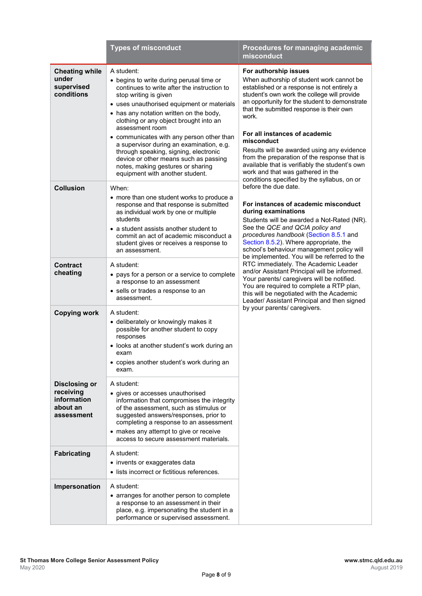|                                                                            | <b>Types of misconduct</b>                                                                                                                                                                                                                                                                                                                                                                                                                                                                                                              | Procedures for managing academic<br>misconduct                                                                                                                                                                                                                                                                                                                                                                                                                                                                                                            |
|----------------------------------------------------------------------------|-----------------------------------------------------------------------------------------------------------------------------------------------------------------------------------------------------------------------------------------------------------------------------------------------------------------------------------------------------------------------------------------------------------------------------------------------------------------------------------------------------------------------------------------|-----------------------------------------------------------------------------------------------------------------------------------------------------------------------------------------------------------------------------------------------------------------------------------------------------------------------------------------------------------------------------------------------------------------------------------------------------------------------------------------------------------------------------------------------------------|
| <b>Cheating while</b><br>under<br>supervised<br>conditions                 | A student:<br>• begins to write during perusal time or<br>continues to write after the instruction to<br>stop writing is given<br>• uses unauthorised equipment or materials<br>• has any notation written on the body,<br>clothing or any object brought into an<br>assessment room<br>• communicates with any person other than<br>a supervisor during an examination, e.g.<br>through speaking, signing, electronic<br>device or other means such as passing<br>notes, making gestures or sharing<br>equipment with another student. | For authorship issues<br>When authorship of student work cannot be<br>established or a response is not entirely a<br>student's own work the college will provide<br>an opportunity for the student to demonstrate<br>that the submitted response is their own<br>work.<br>For all instances of academic<br>misconduct<br>Results will be awarded using any evidence<br>from the preparation of the response that is<br>available that is verifiably the student's own<br>work and that was gathered in the<br>conditions specified by the syllabus, on or |
| <b>Collusion</b>                                                           | When:<br>• more than one student works to produce a<br>response and that response is submitted<br>as individual work by one or multiple<br>students<br>• a student assists another student to<br>commit an act of academic misconduct a<br>student gives or receives a response to<br>an assessment.                                                                                                                                                                                                                                    | before the due date.<br>For instances of academic misconduct<br>during examinations<br>Students will be awarded a Not-Rated (NR).<br>See the QCE and QCIA policy and<br>procedures handbook (Section 8.5.1 and<br>Section 8.5.2). Where appropriate, the<br>school's behaviour management policy will<br>be implemented. You will be referred to the                                                                                                                                                                                                      |
| <b>Contract</b><br>cheating                                                | A student:<br>• pays for a person or a service to complete<br>a response to an assessment<br>• sells or trades a response to an<br>assessment.                                                                                                                                                                                                                                                                                                                                                                                          | RTC immediately. The Academic Leader<br>and/or Assistant Principal will be informed.<br>Your parents/ caregivers will be notified.<br>You are required to complete a RTP plan,<br>this will be negotiated with the Academic<br>Leader/ Assistant Principal and then signed                                                                                                                                                                                                                                                                                |
| <b>Copying work</b>                                                        | A student:<br>• deliberately or knowingly makes it<br>possible for another student to copy<br>responses<br>• looks at another student's work during an<br>exam<br>• copies another student's work during an<br>exam.                                                                                                                                                                                                                                                                                                                    | by your parents/ caregivers.                                                                                                                                                                                                                                                                                                                                                                                                                                                                                                                              |
| <b>Disclosing or</b><br>receiving<br>information<br>about an<br>assessment | A student:<br>• gives or accesses unauthorised<br>information that compromises the integrity<br>of the assessment, such as stimulus or<br>suggested answers/responses, prior to<br>completing a response to an assessment<br>• makes any attempt to give or receive<br>access to secure assessment materials.                                                                                                                                                                                                                           |                                                                                                                                                                                                                                                                                                                                                                                                                                                                                                                                                           |
| <b>Fabricating</b>                                                         | A student:<br>• invents or exaggerates data<br>• lists incorrect or fictitious references.                                                                                                                                                                                                                                                                                                                                                                                                                                              |                                                                                                                                                                                                                                                                                                                                                                                                                                                                                                                                                           |
| Impersonation                                                              | A student:<br>• arranges for another person to complete<br>a response to an assessment in their<br>place, e.g. impersonating the student in a<br>performance or supervised assessment.                                                                                                                                                                                                                                                                                                                                                  |                                                                                                                                                                                                                                                                                                                                                                                                                                                                                                                                                           |